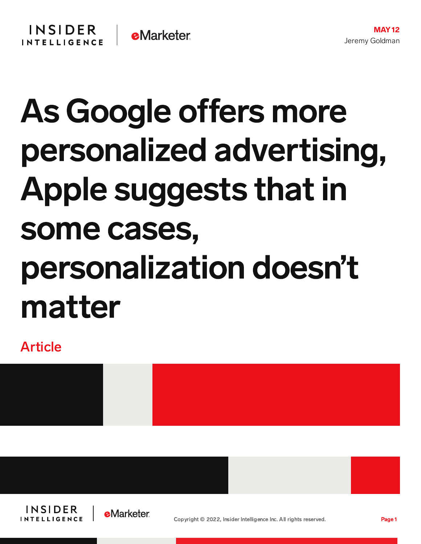## As Google offers more personalized advertising, Apple suggests that in some cases, personalization doesn't matter

Article



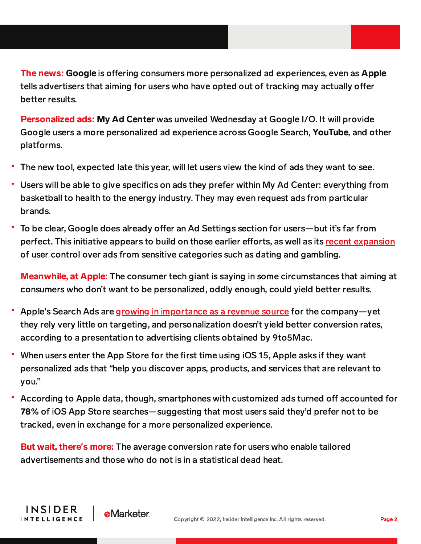The news: Google is offering consumers more personalized ad experiences, even as Apple tells advertisers that aiming for users who have opted out of tracking may actually offer better results.

Personalized ads: My Ad Center was unveiled Wednesday at Google I/O. It will provide Google users a more personalized ad experience across Google Search, YouTube, and other platforms.

- The new tool, expected late this year, will let users view the kind of ads they want to see.
- Users will be able to give specifics on ads they prefer within My Ad Center: everything from basketball to health to the energy industry. They may even request ads from particular brands.
- To be clear, Google does already offer an Ad Settings section for users—but it's far from perfect. This initiative appears to build on those earlier efforts, as well as its recent [expansion](https://content-na1.emarketer.com/advertisers-certain-sensitive-categories-may-affected-by-google-s-new-consumer-controls) of user control over ads from sensitive categories such as dating and gambling.

Meanwhile, at Apple: The consumer tech giant is saying in some circumstances that aiming at consumers who don't want to be personalized, oddly enough, could yield better results.

- Apple's Search Ads are growing in [importance](https://content-na1.emarketer.com/apple-will-revamp-its-services-focus-on-advertising-streaming) as a revenue source for the company—yet they rely very little on targeting, and personalization doesn't yield better conversion rates, according to a presentation to advertising clients obtained by 9to5Mac.
- When users enter the App Store for the first time using iOS 15, Apple asks if they want personalized ads that "help you discover apps, products, and services that are relevant to you."
- According to Apple data, though, smartphones with customized ads turned off accounted for 78% of iOS App Store searches—suggesting that most users said they'd prefer not to be tracked, even in exchange for a more personalized experience.

But wait, there**'**s more: The average conversion rate for users who enable tailored advertisements and those who do not is in a statistical dead heat.

**eMarketer** 

INSIDER

**INTELLIGENCE**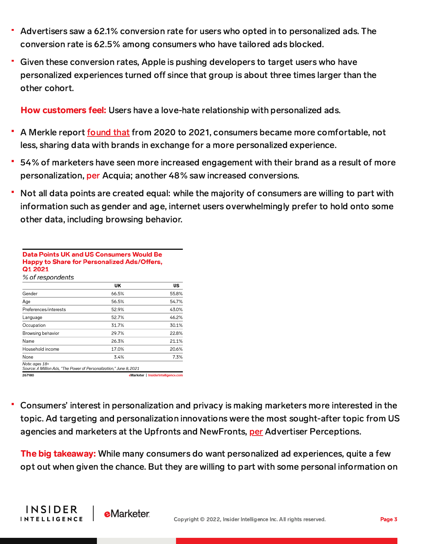- Advertisers saw a 62.1% conversion rate for users who opted in to personalized ads. The conversion rate is 62.5% among consumers who have tailored ads blocked.
- Given these conversion rates, Apple is pushing developers to target users who have personalized experiences turned off since that group is about three times larger than the other cohort.

How customers feel: Users have a love-hate relationship with personalized ads.

- A Merkle report [found](https://chart-na1.emarketer.com/247255/type-of-data-that-us-internet-users-comfortable-sharing-with-brands-more-personalized-experience-2020-2021-of-respondents) that from 2020 to 2021, consumers became more comfortable, not less, sharing data with brands in exchange for a more personalized experience.
- 54% of marketers have seen more increased engagement with their brand as a result of more personalization, [per](https://chart-na1.emarketer.com/251855/what-improvements-have-marketers-worldwide-seen-with-customer-engagement-result-of-implementing-more-personalization-of-respondents-aug-2021) Acquia; another 48% saw increased conversions.
- Not all data points are created equal: while the majority of consumers are willing to part with information such as gender and age, internet users overwhelmingly prefer to hold onto some other data, including browsing behavior.

| Data Points UK and US Consumers Would Be<br>Happy to Share for Personalized Ads/Offers,<br>Q1 2021<br>% of respondents |                                     |       |
|------------------------------------------------------------------------------------------------------------------------|-------------------------------------|-------|
|                                                                                                                        |                                     |       |
| Gender                                                                                                                 | 66.5%                               | 55.8% |
| Age                                                                                                                    | 56.5%                               | 54.7% |
| Preferences/interests                                                                                                  | 52.9%                               | 43.0% |
| Language                                                                                                               | 52.7%                               | 46.2% |
| Occupation                                                                                                             | 31.7%                               | 30.1% |
| Browsing behavior                                                                                                      | 29.7%                               | 22.8% |
| Name                                                                                                                   | 26.3%                               | 21.1% |
| Household income                                                                                                       | 17.0%                               | 20.6% |
| None                                                                                                                   | 3.4%                                | 7.3%  |
| Note: ages 18+<br>Source: A Million Ads, "The Power of Personalization," June 8, 2021                                  |                                     |       |
| 267980                                                                                                                 | eMarketer   InsiderIntelligence.com |       |

Consumers' interest in personalization and privacy is making marketers more interested in the topic. Ad targeting and personalization innovations were the most sought-after topic from US agencies and marketers at the Upfronts and NewFronts, [per](https://chart-na1.emarketer.com/256157/which-topics-would-us-agencymarketer-professionals-most-like-see-tvmedia-companies-emphasize-their-2022-upfrontnewfront-presentations-of-respondents) Advertiser Perceptions.

The big takeaway: While many consumers do want personalized ad experiences, quite a few opt out when given the chance. But they are willing to part with some personal information on